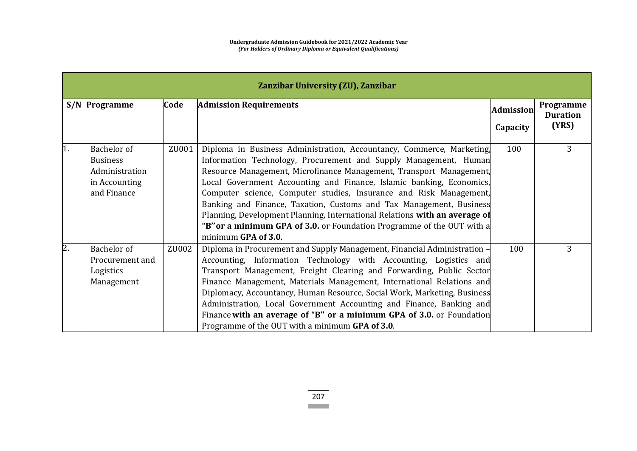|    | Zanzibar University (ZU), Zanzibar                                               |       |                                                                                                                                                                                                                                                                                                                                                                                                                                                                                                                                                                                                                      |                  |                              |  |
|----|----------------------------------------------------------------------------------|-------|----------------------------------------------------------------------------------------------------------------------------------------------------------------------------------------------------------------------------------------------------------------------------------------------------------------------------------------------------------------------------------------------------------------------------------------------------------------------------------------------------------------------------------------------------------------------------------------------------------------------|------------------|------------------------------|--|
|    | S/N Programme                                                                    | Code  | <b>Admission Requirements</b>                                                                                                                                                                                                                                                                                                                                                                                                                                                                                                                                                                                        | <b>Admission</b> | Programme<br><b>Duration</b> |  |
|    |                                                                                  |       |                                                                                                                                                                                                                                                                                                                                                                                                                                                                                                                                                                                                                      | Capacity         | (YRS)                        |  |
| 1. | Bachelor of<br><b>Business</b><br>Administration<br>in Accounting<br>and Finance | ZU001 | Diploma in Business Administration, Accountancy, Commerce, Marketing,<br>Information Technology, Procurement and Supply Management, Human<br>Resource Management, Microfinance Management, Transport Management,<br>Local Government Accounting and Finance, Islamic banking, Economics,<br>Computer science, Computer studies, Insurance and Risk Management,<br>Banking and Finance, Taxation, Customs and Tax Management, Business<br>Planning, Development Planning, International Relations with an average of<br>"B" or a minimum GPA of 3.0. or Foundation Programme of the OUT with a<br>minimum GPA of 3.0. | 100              | 3                            |  |
| 2. | Bachelor of<br>Procurement and<br>Logistics<br>Management                        | ZU002 | Diploma in Procurement and Supply Management, Financial Administration -<br>Accounting, Information Technology with Accounting, Logistics and<br>Transport Management, Freight Clearing and Forwarding, Public Sector<br>Finance Management, Materials Management, International Relations and<br>Diplomacy, Accountancy, Human Resource, Social Work, Marketing, Business<br>Administration, Local Government Accounting and Finance, Banking and<br>Finance with an average of "B" or a minimum GPA of 3.0. or Foundation<br>Programme of the OUT with a minimum GPA of 3.0.                                       | 100              | 3                            |  |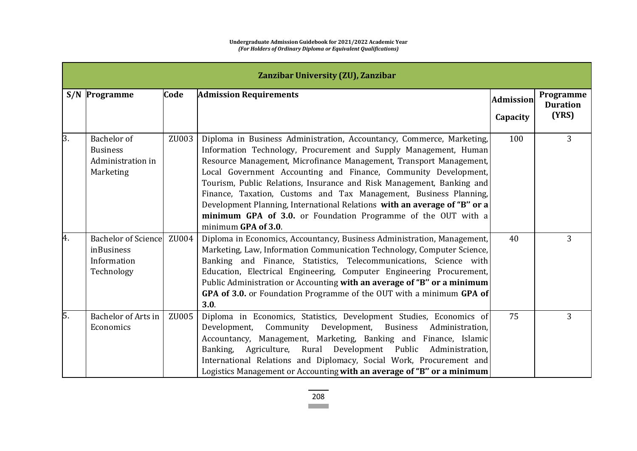|     | Zanzibar University (ZU), Zanzibar                                           |       |                                                                                                                                                                                                                                                                                                                                                                                                                                                                                                                                                                                                        |                  |                              |  |
|-----|------------------------------------------------------------------------------|-------|--------------------------------------------------------------------------------------------------------------------------------------------------------------------------------------------------------------------------------------------------------------------------------------------------------------------------------------------------------------------------------------------------------------------------------------------------------------------------------------------------------------------------------------------------------------------------------------------------------|------------------|------------------------------|--|
|     | <b>S/N</b> Programme                                                         | Code  | <b>Admission Requirements</b>                                                                                                                                                                                                                                                                                                                                                                                                                                                                                                                                                                          | <b>Admission</b> | Programme<br><b>Duration</b> |  |
|     |                                                                              |       |                                                                                                                                                                                                                                                                                                                                                                                                                                                                                                                                                                                                        | Capacity         | (YRS)                        |  |
| 3.  | Bachelor of<br><b>Business</b><br>Administration in<br>Marketing             | ZU003 | Diploma in Business Administration, Accountancy, Commerce, Marketing,<br>Information Technology, Procurement and Supply Management, Human<br>Resource Management, Microfinance Management, Transport Management,<br>Local Government Accounting and Finance, Community Development,<br>Tourism, Public Relations, Insurance and Risk Management, Banking and<br>Finance, Taxation, Customs and Tax Management, Business Planning,<br>Development Planning, International Relations with an average of "B" or a<br>minimum GPA of 3.0. or Foundation Programme of the OUT with a<br>minimum GPA of 3.0. | 100              | 3                            |  |
| 4.  | <b>Bachelor of Science</b><br><i>inBusiness</i><br>Information<br>Technology | ZU004 | Diploma in Economics, Accountancy, Business Administration, Management,<br>Marketing, Law, Information Communication Technology, Computer Science,<br>Banking and Finance, Statistics, Telecommunications, Science with<br>Education, Electrical Engineering, Computer Engineering Procurement,<br>Public Administration or Accounting with an average of "B" or a minimum<br>GPA of 3.0. or Foundation Programme of the OUT with a minimum GPA of<br>3.0.                                                                                                                                             | 40               | 3                            |  |
| l5. | Bachelor of Arts in<br>Economics                                             | ZU005 | Diploma in Economics, Statistics, Development Studies, Economics of<br>Development,<br>Community Development,<br><b>Business</b><br>Administration,<br>Accountancy, Management, Marketing, Banking and Finance, Islamic<br>Agriculture, Rural Development Public<br>Banking,<br>Administration,<br>International Relations and Diplomacy, Social Work, Procurement and<br>Logistics Management or Accounting with an average of "B" or a minimum                                                                                                                                                       | 75               | 3                            |  |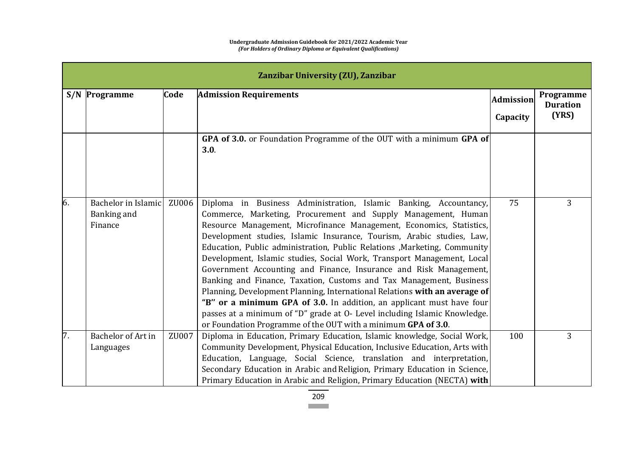|    | Zanzibar University (ZU), Zanzibar            |       |                                                                                                                                                                                                                                                                                                                                                                                                                                                                                                                                                                                                                                                                                                                                                                                                                                                                                             |                  |                              |  |  |
|----|-----------------------------------------------|-------|---------------------------------------------------------------------------------------------------------------------------------------------------------------------------------------------------------------------------------------------------------------------------------------------------------------------------------------------------------------------------------------------------------------------------------------------------------------------------------------------------------------------------------------------------------------------------------------------------------------------------------------------------------------------------------------------------------------------------------------------------------------------------------------------------------------------------------------------------------------------------------------------|------------------|------------------------------|--|--|
|    | <b>S/N</b> Programme                          | Code  | <b>Admission Requirements</b>                                                                                                                                                                                                                                                                                                                                                                                                                                                                                                                                                                                                                                                                                                                                                                                                                                                               | <b>Admission</b> | Programme<br><b>Duration</b> |  |  |
|    |                                               |       |                                                                                                                                                                                                                                                                                                                                                                                                                                                                                                                                                                                                                                                                                                                                                                                                                                                                                             | Capacity         | (YRS)                        |  |  |
|    |                                               |       | GPA of 3.0. or Foundation Programme of the OUT with a minimum GPA of<br>3.0.                                                                                                                                                                                                                                                                                                                                                                                                                                                                                                                                                                                                                                                                                                                                                                                                                |                  |                              |  |  |
| 6. | Bachelor in Islamic<br>Banking and<br>Finance | ZU006 | Diploma in Business Administration, Islamic Banking, Accountancy,<br>Commerce, Marketing, Procurement and Supply Management, Human<br>Resource Management, Microfinance Management, Economics, Statistics,<br>Development studies, Islamic Insurance, Tourism, Arabic studies, Law,<br>Education, Public administration, Public Relations , Marketing, Community<br>Development, Islamic studies, Social Work, Transport Management, Local<br>Government Accounting and Finance, Insurance and Risk Management,<br>Banking and Finance, Taxation, Customs and Tax Management, Business<br>Planning, Development Planning, International Relations with an average of<br>"B" or a minimum GPA of 3.0. In addition, an applicant must have four<br>passes at a minimum of "D" grade at O- Level including Islamic Knowledge.<br>or Foundation Programme of the OUT with a minimum GPA of 3.0. | 75               | 3                            |  |  |
| 7. | Bachelor of Art in<br>Languages               | ZU007 | Diploma in Education, Primary Education, Islamic knowledge, Social Work,<br>Community Development, Physical Education, Inclusive Education, Arts with<br>Education, Language, Social Science, translation and interpretation,<br>Secondary Education in Arabic and Religion, Primary Education in Science,<br>Primary Education in Arabic and Religion, Primary Education (NECTA) with                                                                                                                                                                                                                                                                                                                                                                                                                                                                                                      | 100              | 3                            |  |  |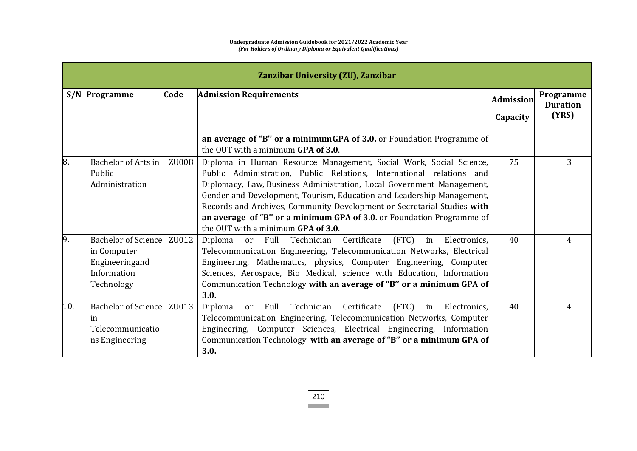|     | Zanzibar University (ZU), Zanzibar                                                |       |                                                                                                                                                                                                                                                                                                                                                                                                                                                                                        |                  |                              |  |
|-----|-----------------------------------------------------------------------------------|-------|----------------------------------------------------------------------------------------------------------------------------------------------------------------------------------------------------------------------------------------------------------------------------------------------------------------------------------------------------------------------------------------------------------------------------------------------------------------------------------------|------------------|------------------------------|--|
|     | <b>S/N</b> Programme                                                              | Code  | <b>Admission Requirements</b>                                                                                                                                                                                                                                                                                                                                                                                                                                                          | <b>Admission</b> | Programme<br><b>Duration</b> |  |
|     |                                                                                   |       |                                                                                                                                                                                                                                                                                                                                                                                                                                                                                        | Capacity         | (YRS)                        |  |
|     |                                                                                   |       | an average of "B" or a minimum GPA of 3.0. or Foundation Programme of<br>the OUT with a minimum GPA of 3.0.                                                                                                                                                                                                                                                                                                                                                                            |                  |                              |  |
| 8.  | Bachelor of Arts in<br>Public<br>Administration                                   | ZU008 | Diploma in Human Resource Management, Social Work, Social Science,<br>Public Administration, Public Relations, International relations and<br>Diplomacy, Law, Business Administration, Local Government Management,<br>Gender and Development, Tourism, Education and Leadership Management,<br>Records and Archives, Community Development or Secretarial Studies with<br>an average of "B" or a minimum GPA of 3.0. or Foundation Programme of<br>the OUT with a minimum GPA of 3.0. | 75               | 3                            |  |
| 9.  | Bachelor of Science<br>in Computer<br>Engineeringand<br>Information<br>Technology | ZU012 | (FTC)<br>Diploma<br>Certificate<br>Electronics,<br>Full Technician<br>in<br><sub>or</sub><br>Telecommunication Engineering, Telecommunication Networks, Electrical<br>Engineering, Mathematics, physics, Computer Engineering, Computer<br>Sciences, Aerospace, Bio Medical, science with Education, Information<br>Communication Technology with an average of "B" or a minimum GPA of<br>3.0.                                                                                        | 40               | 4                            |  |
| 10. | <b>Bachelor of Science</b><br>in<br>Telecommunicatio<br>ns Engineering            | ZU013 | Full<br>Technician<br>Certificate<br>(FTC)<br>Diploma<br>in<br>Electronics.<br><b>or</b><br>Telecommunication Engineering, Telecommunication Networks, Computer<br>Engineering, Computer Sciences, Electrical Engineering, Information<br>Communication Technology with an average of "B" or a minimum GPA of<br>3.0.                                                                                                                                                                  | 40               | 4                            |  |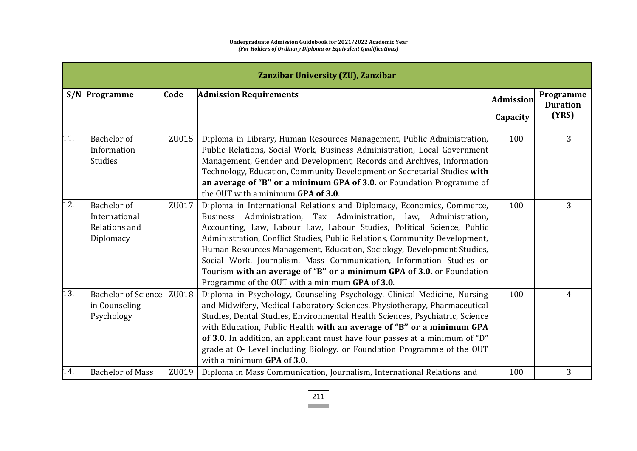|     | Zanzibar University (ZU), Zanzibar                         |       |                                                                                                                                                                                                                                                                                                                                                                                                                                                                                                                                                                                  |                  |                              |  |
|-----|------------------------------------------------------------|-------|----------------------------------------------------------------------------------------------------------------------------------------------------------------------------------------------------------------------------------------------------------------------------------------------------------------------------------------------------------------------------------------------------------------------------------------------------------------------------------------------------------------------------------------------------------------------------------|------------------|------------------------------|--|
|     | <b>S/N</b> Programme                                       | Code  | <b>Admission Requirements</b>                                                                                                                                                                                                                                                                                                                                                                                                                                                                                                                                                    | <b>Admission</b> | Programme<br><b>Duration</b> |  |
|     |                                                            |       |                                                                                                                                                                                                                                                                                                                                                                                                                                                                                                                                                                                  | Capacity         | (YRS)                        |  |
| 11. | Bachelor of<br>Information<br><b>Studies</b>               | ZU015 | Diploma in Library, Human Resources Management, Public Administration,<br>Public Relations, Social Work, Business Administration, Local Government<br>Management, Gender and Development, Records and Archives, Information<br>Technology, Education, Community Development or Secretarial Studies with<br>an average of "B" or a minimum GPA of 3.0. or Foundation Programme of<br>the OUT with a minimum GPA of 3.0.                                                                                                                                                           | 100              | 3                            |  |
| 12. | Bachelor of<br>International<br>Relations and<br>Diplomacy | ZU017 | Diploma in International Relations and Diplomacy, Economics, Commerce,<br>Business Administration, Tax Administration, law, Administration,<br>Accounting, Law, Labour Law, Labour Studies, Political Science, Public<br>Administration, Conflict Studies, Public Relations, Community Development,<br>Human Resources Management, Education, Sociology, Development Studies,<br>Social Work, Journalism, Mass Communication, Information Studies or<br>Tourism with an average of "B" or a minimum GPA of 3.0. or Foundation<br>Programme of the OUT with a minimum GPA of 3.0. | 100              | 3                            |  |
| 13. | <b>Bachelor of Science</b><br>in Counseling<br>Psychology  | ZU018 | Diploma in Psychology, Counseling Psychology, Clinical Medicine, Nursing<br>and Midwifery, Medical Laboratory Sciences, Physiotherapy, Pharmaceutical<br>Studies, Dental Studies, Environmental Health Sciences, Psychiatric, Science<br>with Education, Public Health with an average of "B" or a minimum GPA<br>of 3.0. In addition, an applicant must have four passes at a minimum of "D"<br>grade at O- Level including Biology. or Foundation Programme of the OUT<br>with a minimum GPA of 3.0.                                                                           | 100              | 4                            |  |
| 14. | <b>Bachelor of Mass</b>                                    | ZU019 | Diploma in Mass Communication, Journalism, International Relations and                                                                                                                                                                                                                                                                                                                                                                                                                                                                                                           | 100              | 3                            |  |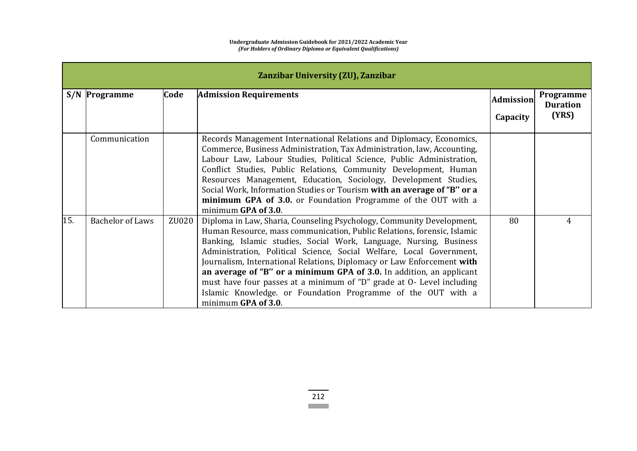|     | Zanzibar University (ZU), Zanzibar |       |                                                                                                                                                                                                                                                                                                                                                                                                                                                                                                                                                                                                                  |                  |                              |  |  |
|-----|------------------------------------|-------|------------------------------------------------------------------------------------------------------------------------------------------------------------------------------------------------------------------------------------------------------------------------------------------------------------------------------------------------------------------------------------------------------------------------------------------------------------------------------------------------------------------------------------------------------------------------------------------------------------------|------------------|------------------------------|--|--|
|     | <b>S/N</b> Programme               | Code  | <b>Admission Requirements</b>                                                                                                                                                                                                                                                                                                                                                                                                                                                                                                                                                                                    | <b>Admission</b> | Programme<br><b>Duration</b> |  |  |
|     |                                    |       |                                                                                                                                                                                                                                                                                                                                                                                                                                                                                                                                                                                                                  | Capacity         | (YRS)                        |  |  |
|     | Communication                      |       | Records Management International Relations and Diplomacy, Economics,<br>Commerce, Business Administration, Tax Administration, law, Accounting,<br>Labour Law, Labour Studies, Political Science, Public Administration,<br>Conflict Studies, Public Relations, Community Development, Human<br>Resources Management, Education, Sociology, Development Studies,<br>Social Work, Information Studies or Tourism with an average of "B" or a<br>minimum GPA of 3.0. or Foundation Programme of the OUT with a<br>minimum GPA of 3.0.                                                                              |                  |                              |  |  |
| 15. | <b>Bachelor of Laws</b>            | ZU020 | Diploma in Law, Sharia, Counseling Psychology, Community Development,<br>Human Resource, mass communication, Public Relations, forensic, Islamic<br>Banking, Islamic studies, Social Work, Language, Nursing, Business<br>Administration, Political Science, Social Welfare, Local Government,<br>Journalism, International Relations, Diplomacy or Law Enforcement with<br>an average of "B" or a minimum GPA of 3.0. In addition, an applicant<br>must have four passes at a minimum of "D" grade at O- Level including<br>Islamic Knowledge. or Foundation Programme of the OUT with a<br>minimum GPA of 3.0. | 80               | 4                            |  |  |